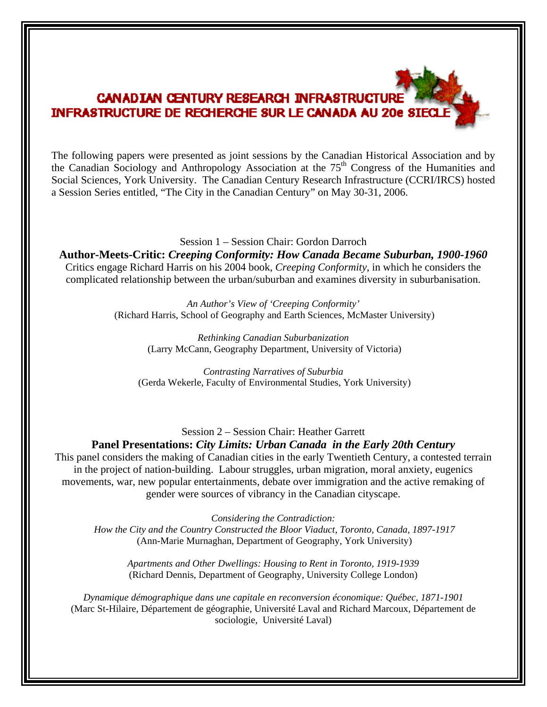## **CANADIAN CENTURY RESEARCH INFRASTRUCTUR** INFRASTRUCTURE DE RECHERCHE SUR LE CANADA AU 20e SIECL

The following papers were presented as joint sessions by the Canadian Historical Association and by the Canadian Sociology and Anthropology Association at the 75<sup>th</sup> Congress of the Humanities and Social Sciences, York University. The Canadian Century Research Infrastructure (CCRI/IRCS) hosted a Session Series entitled, "The City in the Canadian Century" on May 30-31, 2006.

Session 1 – Session Chair: Gordon Darroch **Author-Meets-Critic:** *Creeping Conformity: How Canada Became Suburban, 1900-1960*  Critics engage Richard Harris on his 2004 book, *Creeping Conformity*, in which he considers the complicated relationship between the urban/suburban and examines diversity in suburbanisation.

> *An Author's View of 'Creeping Conformity'*  (Richard Harris, School of Geography and Earth Sciences, McMaster University)

> > *Rethinking Canadian Suburbanization*  (Larry McCann, Geography Department, University of Victoria)

*Contrasting Narratives of Suburbia*  (Gerda Wekerle, Faculty of Environmental Studies, York University)

Session 2 – Session Chair: Heather Garrett **Panel Presentations:** *City Limits: Urban Canada in the Early 20th Century* 

This panel considers the making of Canadian cities in the early Twentieth Century, a contested terrain in the project of nation-building. Labour struggles, urban migration, moral anxiety, eugenics movements, war, new popular entertainments, debate over immigration and the active remaking of gender were sources of vibrancy in the Canadian cityscape.

*Considering the Contradiction: How the City and the Country Constructed the Bloor Viaduct, Toronto, Canada, 1897-1917*  (Ann-Marie Murnaghan, Department of Geography, York University)

*Apartments and Other Dwellings: Housing to Rent in Toronto, 1919-1939*  (Richard Dennis, Department of Geography, University College London)

*Dynamique démographique dans une capitale en reconversion économique: Québec, 1871-1901*  (Marc St-Hilaire, Département de géographie, Université Laval and Richard Marcoux, Département de sociologie, Université Laval)